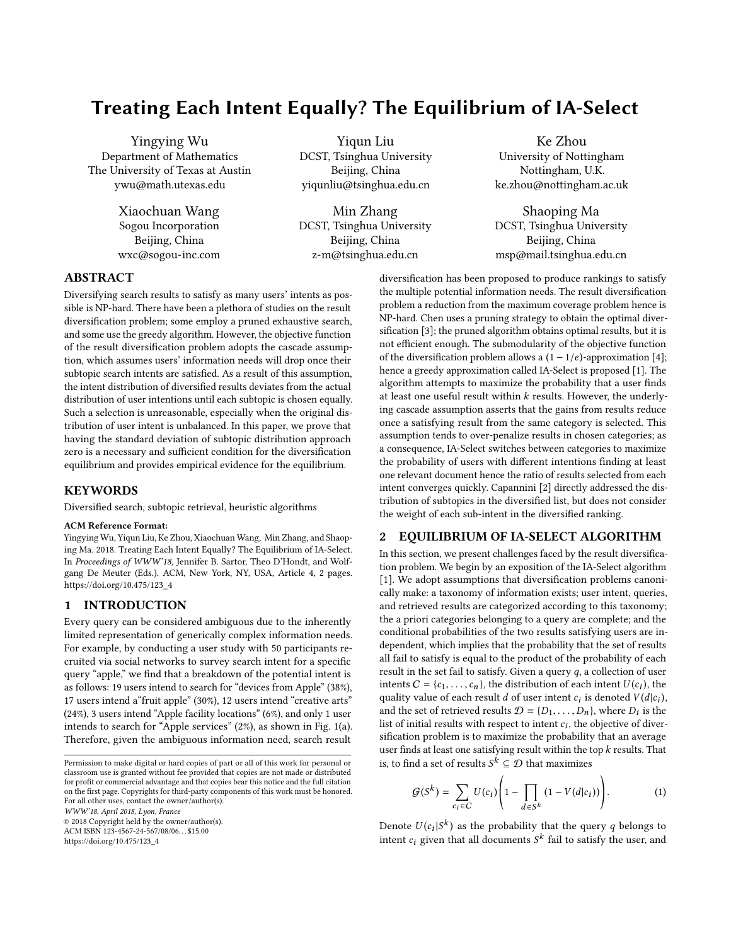# Treating Each Intent Equally? The Equilibrium of IA-Select

Yingying Wu Department of Mathematics The University of Texas at Austin ywu@math.utexas.edu

> Xiaochuan Wang Sogou Incorporation Beijing, China wxc@sogou-inc.com

Yiqun Liu DCST, Tsinghua University Beijing, China yiqunliu@tsinghua.edu.cn

Min Zhang DCST, Tsinghua University Beijing, China z-m@tsinghua.edu.cn

Ke Zhou University of Nottingham Nottingham, U.K. ke.zhou@nottingham.ac.uk

Shaoping Ma DCST, Tsinghua University Beijing, China msp@mail.tsinghua.edu.cn

# ABSTRACT

Diversifying search results to satisfy as many users' intents as possible is NP-hard. There have been a plethora of studies on the result diversification problem; some employ a pruned exhaustive search, and some use the greedy algorithm. However, the objective function of the result diversification problem adopts the cascade assumption, which assumes users' information needs will drop once their subtopic search intents are satisfied. As a result of this assumption, the intent distribution of diversified results deviates from the actual distribution of user intentions until each subtopic is chosen equally. Such a selection is unreasonable, especially when the original distribution of user intent is unbalanced. In this paper, we prove that having the standard deviation of subtopic distribution approach zero is a necessary and sufficient condition for the diversification equilibrium and provides empirical evidence for the equilibrium.

## KEYWORDS

Diversified search, subtopic retrieval, heuristic algorithms

### ACM Reference Format:

Yingying Wu, Yiqun Liu, Ke Zhou, Xiaochuan Wang, Min Zhang, and Shaoping Ma. 2018. Treating Each Intent Equally? The Equilibrium of IA-Select. In Proceedings of WWW'18, Jennifer B. Sartor, Theo D'Hondt, and Wolfgang De Meuter (Eds.). ACM, New York, NY, USA, Article 4, [2](#page-1-0) pages. [https://doi.org/10.475/123\\_4](https://doi.org/10.475/123_4)

### 1 INTRODUCTION

Every query can be considered ambiguous due to the inherently limited representation of generically complex information needs. For example, by conducting a user study with 50 participants recruited via social networks to survey search intent for a specific query "apple," we find that a breakdown of the potential intent is as follows: 19 users intend to search for "devices from Apple" (38%), 17 users intend a"fruit apple" (30%), 12 users intend "creative arts" (24%), 3 users intend "Apple facility locations" (6%), and only 1 user intends to search for "Apple services" (2%), as shown in Fig. [1\(](#page-1-1)a). Therefore, given the ambiguous information need, search result

© 2018 Copyright held by the owner/author(s).

ACM ISBN 123-4567-24-567/08/06. . . \$15.00

[https://doi.org/10.475/123\\_4](https://doi.org/10.475/123_4)

diversification has been proposed to produce rankings to satisfy the multiple potential information needs. The result diversification problem a reduction from the maximum coverage problem hence is NP-hard. Chen uses a pruning strategy to obtain the optimal diversification [\[3\]](#page-1-2); the pruned algorithm obtains optimal results, but it is not efficient enough. The submodularity of the objective function of the diversification problem allows a  $(1 - 1/e)$ -approximation [\[4\]](#page-1-3); hence a greedy approximation called IA-Select is proposed [\[1\]](#page-1-4). The algorithm attempts to maximize the probability that a user finds at least one useful result within k results. However, the underlying cascade assumption asserts that the gains from results reduce once a satisfying result from the same category is selected. This assumption tends to over-penalize results in chosen categories; as a consequence, IA-Select switches between categories to maximize the probability of users with different intentions finding at least one relevant document hence the ratio of results selected from each intent converges quickly. Capannini [\[2\]](#page-1-5) directly addressed the distribution of subtopics in the diversified list, but does not consider the weight of each sub-intent in the diversified ranking.

### 2 EQUILIBRIUM OF IA-SELECT ALGORITHM

In this section, we present challenges faced by the result diversification problem. We begin by an exposition of the IA-Select algorithm [\[1\]](#page-1-4). We adopt assumptions that diversification problems canonically make: a taxonomy of information exists; user intent, queries, and retrieved results are categorized according to this taxonomy; the a priori categories belonging to a query are complete; and the conditional probabilities of the two results satisfying users are independent, which implies that the probability that the set of results all fail to satisfy is equal to the product of the probability of each result in the set fail to satisfy. Given a query  $q$ , a collection of user intents  $C = \{c_1, \ldots, c_n\}$ , the distribution of each intent  $U(c_i)$ , the quality value of each result d of user intent  $c_i$  is denoted  $V(d|c_i)$ . quality value of each result *d* of user intent *c<sub>i</sub>* is denoted  $V(d|c_i)$ ,<br>and the set of retrieved results  $D = \{D_i, \ldots, D_i\}$ , where *D*; is the and the set of retrieved results  $\mathcal{D} = \{D_1, \ldots, D_n\}$ , where  $D_i$  is the list of initial results with respect to intent  $c_i$ , the objective of diverlist of initial results with respect to intent  $c_i$ , the objective of diver-<br>sification problem is to maximize the probability that an average sification problem is to maximize the probability that an average user finds at least one satisfying result within the top  $k$  results. That is, to find a set of results  $S^k \subseteq \mathcal{D}$  that maximizes

$$
\mathcal{G}(S^k) = \sum_{c_i \in C} U(c_i) \left( 1 - \prod_{d \in S^k} (1 - V(d|c_i)) \right). \tag{1}
$$

Denote  $U(c_i|S^k)$  as the probability that the query q belongs to intent a given that all deguments  $S^k$  fail to actiofy the year, and intent  $c_i$  given that all documents  $S^k$  fail to satisfy the user, and

Permission to make digital or hard copies of part or all of this work for personal or classroom use is granted without fee provided that copies are not made or distributed for profit or commercial advantage and that copies bear this notice and the full citation on the first page. Copyrights for third-party components of this work must be honored. For all other uses, contact the owner/author(s). WWW'18, April 2018, Lyon, France